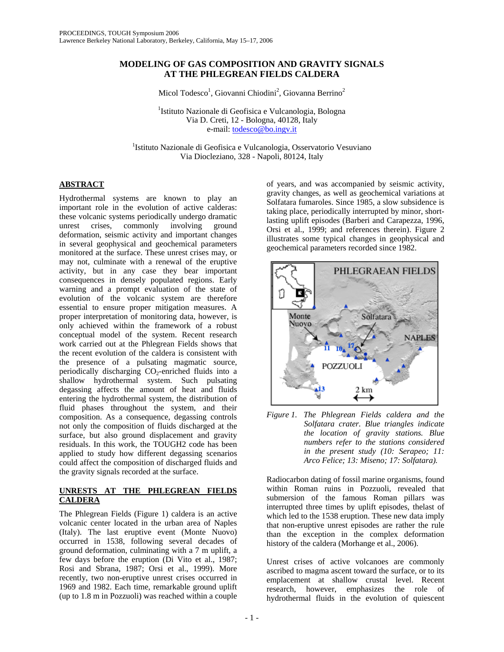# **MODELING OF GAS COMPOSITION AND GRAVITY SIGNALS AT THE PHLEGREAN FIELDS CALDERA**

Micol Todesco<sup>1</sup>, Giovanni Chiodini<sup>2</sup>, Giovanna Berrino<sup>2</sup>

<sup>1</sup>Istituto Nazionale di Geofisica e Vulcanologia, Bologna Via D. Creti, 12 - Bologna, 40128, Italy e-mail: todesco@bo.ingv.it

<sup>1</sup>Istituto Nazionale di Geofisica e Vulcanologia, Osservatorio Vesuviano Via Diocleziano, 328 - Napoli, 80124, Italy

## **ABSTRACT**

Hydrothermal systems are known to play an important role in the evolution of active calderas: these volcanic systems periodically undergo dramatic unrest crises, commonly involving ground deformation, seismic activity and important changes in several geophysical and geochemical parameters monitored at the surface. These unrest crises may, or may not, culminate with a renewal of the eruptive activity, but in any case they bear important consequences in densely populated regions. Early warning and a prompt evaluation of the state of evolution of the volcanic system are therefore essential to ensure proper mitigation measures. A proper interpretation of monitoring data, however, is only achieved within the framework of a robust conceptual model of the system. Recent research work carried out at the Phlegrean Fields shows that the recent evolution of the caldera is consistent with the presence of a pulsating magmatic source, periodically discharging  $CO<sub>2</sub>$ -enriched fluids into a shallow hydrothermal system. Such pulsating degassing affects the amount of heat and fluids entering the hydrothermal system, the distribution of fluid phases throughout the system, and their composition. As a consequence, degassing controls not only the composition of fluids discharged at the surface, but also ground displacement and gravity residuals. In this work, the TOUGH2 code has been applied to study how different degassing scenarios could affect the composition of discharged fluids and the gravity signals recorded at the surface.

## **UNRESTS AT THE PHLEGREAN FIELDS CALDERA**

The Phlegrean Fields (Figure 1) caldera is an active volcanic center located in the urban area of Naples (Italy). The last eruptive event (Monte Nuovo) occurred in 1538, following several decades of ground deformation, culminating with a 7 m uplift, a few days before the eruption (Di Vito et al., 1987; Rosi and Sbrana, 1987; Orsi et al., 1999). More recently, two non-eruptive unrest crises occurred in 1969 and 1982. Each time, remarkable ground uplift (up to 1.8 m in Pozzuoli) was reached within a couple

of years, and was accompanied by seismic activity, gravity changes, as well as geochemical variations at Solfatara fumaroles. Since 1985, a slow subsidence is taking place, periodically interrupted by minor, shortlasting uplift episodes (Barberi and Carapezza, 1996, Orsi et al., 1999; and references therein). Figure 2 illustrates some typical changes in geophysical and geochemical parameters recorded since 1982.



*Figure 1. The Phlegrean Fields caldera and the Solfatara crater. Blue triangles indicate the location of gravity stations. Blue numbers refer to the stations considered in the present study (10: Serapeo; 11: Arco Felice; 13: Miseno; 17: Solfatara).* 

Radiocarbon dating of fossil marine organisms, found within Roman ruins in Pozzuoli, revealed that submersion of the famous Roman pillars was interrupted three times by uplift episodes, thelast of which led to the 1538 eruption. These new data imply that non-eruptive unrest episodes are rather the rule than the exception in the complex deformation history of the caldera (Morhange et al., 2006).

Unrest crises of active volcanoes are commonly ascribed to magma ascent toward the surface, or to its emplacement at shallow crustal level. Recent research, however, emphasizes the role of hydrothermal fluids in the evolution of quiescent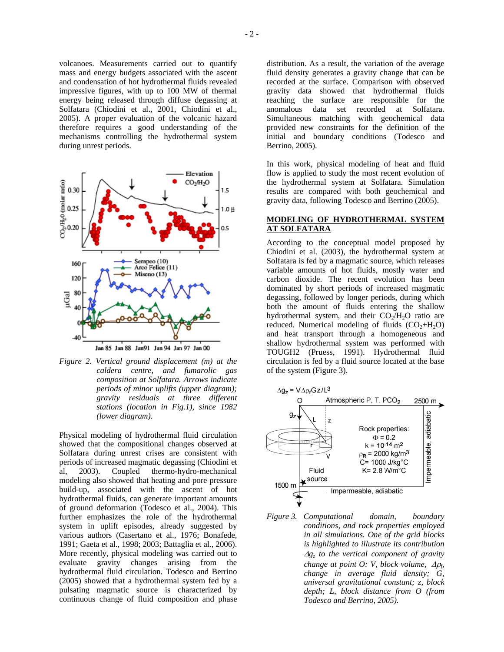volcanoes. Measurements carried out to quantify mass and energy budgets associated with the ascent and condensation of hot hydrothermal fluids revealed impressive figures, with up to 100 MW of thermal energy being released through diffuse degassing at Solfatara (Chiodini et al., 2001, Chiodini et al., 2005). A proper evaluation of the volcanic hazard therefore requires a good understanding of the mechanisms controlling the hydrothermal system during unrest periods.



Jan 85 Jan 88 Jan 91 Jan 94 Jan 97 Jan 00

*Figure 2. Vertical ground displacement (m) at the caldera centre, and fumarolic gas composition at Solfatara. Arrows indicate periods of minor uplifts (upper diagram); gravity residuals at three different stations (location in Fig.1), since 1982 (lower diagram).* 

Physical modeling of hydrothermal fluid circulation showed that the compositional changes observed at Solfatara during unrest crises are consistent with periods of increased magmatic degassing (Chiodini et al, 2003). Coupled thermo-hydro-mechanical modeling also showed that heating and pore pressure build-up, associated with the ascent of hot hydrothermal fluids, can generate important amounts of ground deformation (Todesco et al., 2004). This further emphasizes the role of the hydrothermal system in uplift episodes, already suggested by various authors (Casertano et al., 1976; Bonafede, 1991; Gaeta et al., 1998; 2003; Battaglia et al., 2006). More recently, physical modeling was carried out to evaluate gravity changes arising from the hydrothermal fluid circulation. Todesco and Berrino (2005) showed that a hydrothermal system fed by a pulsating magmatic source is characterized by continuous change of fluid composition and phase

distribution. As a result, the variation of the average fluid density generates a gravity change that can be recorded at the surface. Comparison with observed gravity data showed that hydrothermal fluids reaching the surface are responsible for the anomalous data set recorded at Solfatara. Simultaneous matching with geochemical data provided new constraints for the definition of the initial and boundary conditions (Todesco and Berrino, 2005).

In this work, physical modeling of heat and fluid flow is applied to study the most recent evolution of the hydrothermal system at Solfatara. Simulation results are compared with both geochemical and gravity data, following Todesco and Berrino (2005).

## **MODELING OF HYDROTHERMAL SYSTEM AT SOLFATARA**

According to the conceptual model proposed by Chiodini et al. (2003), the hydrothermal system at Solfatara is fed by a magmatic source, which releases variable amounts of hot fluids, mostly water and carbon dioxide. The recent evolution has been dominated by short periods of increased magmatic degassing, followed by longer periods, during which both the amount of fluids entering the shallow hydrothermal system, and their  $CO<sub>2</sub>/H<sub>2</sub>O$  ratio are reduced. Numerical modeling of fluids  $(CO<sub>2</sub>+H<sub>2</sub>O)$ and heat transport through a homogeneous and shallow hydrothermal system was performed with TOUGH2 (Pruess, 1991). Hydrothermal fluid circulation is fed by a fluid source located at the base of the system (Figure 3).



*Figure 3. Computational domain, boundary conditions, and rock properties employed in all simulations. One of the grid blocks is highlighted to illustrate its contribution*  <sup>∆</sup>*gz to the vertical component of gravity change at point O: V, block volume, Δρ*<sub>*6*</sub> *change in average fluid density; G, universal gravitational constant; z, block depth; L, block distance from O (from Todesco and Berrino, 2005).*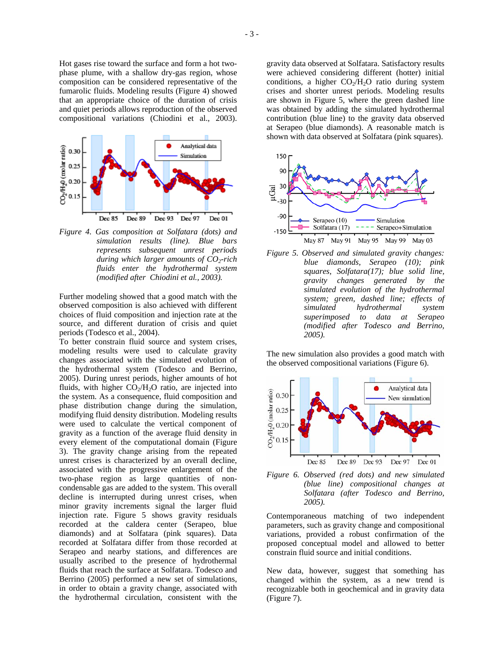Hot gases rise toward the surface and form a hot twophase plume, with a shallow dry-gas region, whose composition can be considered representative of the fumarolic fluids. Modeling results (Figure 4) showed that an appropriate choice of the duration of crisis and quiet periods allows reproduction of the observed compositional variations (Chiodini et al., 2003).



*Figure 4. Gas composition at Solfatara (dots) and simulation results (line). Blue bars represents subsequent unrest periods during which larger amounts of CO<sub>2</sub>-rich fluids enter the hydrothermal system (modified after Chiodini et al., 2003).* 

Further modeling showed that a good match with the observed composition is also achieved with different choices of fluid composition and injection rate at the source, and different duration of crisis and quiet periods (Todesco et al., 2004).

To better constrain fluid source and system crises, modeling results were used to calculate gravity changes associated with the simulated evolution of the hydrothermal system (Todesco and Berrino, 2005). During unrest periods, higher amounts of hot fluids, with higher  $CO<sub>2</sub>/H<sub>2</sub>O$  ratio, are injected into the system. As a consequence, fluid composition and phase distribution change during the simulation, modifying fluid density distribution. Modeling results were used to calculate the vertical component of gravity as a function of the average fluid density in every element of the computational domain (Figure 3). The gravity change arising from the repeated unrest crises is characterized by an overall decline, associated with the progressive enlargement of the two-phase region as large quantities of noncondensable gas are added to the system. This overall decline is interrupted during unrest crises, when minor gravity increments signal the larger fluid injection rate. Figure 5 shows gravity residuals recorded at the caldera center (Serapeo, blue diamonds) and at Solfatara (pink squares). Data recorded at Solfatara differ from those recorded at Serapeo and nearby stations, and differences are usually ascribed to the presence of hydrothermal fluids that reach the surface at Solfatara. Todesco and Berrino (2005) performed a new set of simulations, in order to obtain a gravity change, associated with the hydrothermal circulation, consistent with the gravity data observed at Solfatara. Satisfactory results were achieved considering different (hotter) initial conditions, a higher  $CO<sub>2</sub>/H<sub>2</sub>O$  ratio during system crises and shorter unrest periods. Modeling results are shown in Figure 5, where the green dashed line was obtained by adding the simulated hydrothermal contribution (blue line) to the gravity data observed at Serapeo (blue diamonds). A reasonable match is shown with data observed at Solfatara (pink squares).



*Figure 5. Observed and simulated gravity changes: blue diamonds, Serapeo (10); pink squares, Solfatara(17); blue solid line, gravity changes generated by the simulated evolution of the hydrothermal system; green, dashed line; effects of simulated hydrothermal system superimposed to data at Serapeo (modified after Todesco and Berrino, 2005).* 

The new simulation also provides a good match with the observed compositional variations (Figure 6).



*Figure 6. Observed (red dots) and new simulated (blue line) compositional changes at Solfatara (after Todesco and Berrino, 2005).* 

Contemporaneous matching of two independent parameters, such as gravity change and compositional variations, provided a robust confirmation of the proposed conceptual model and allowed to better constrain fluid source and initial conditions.

New data, however, suggest that something has changed within the system, as a new trend is recognizable both in geochemical and in gravity data (Figure 7).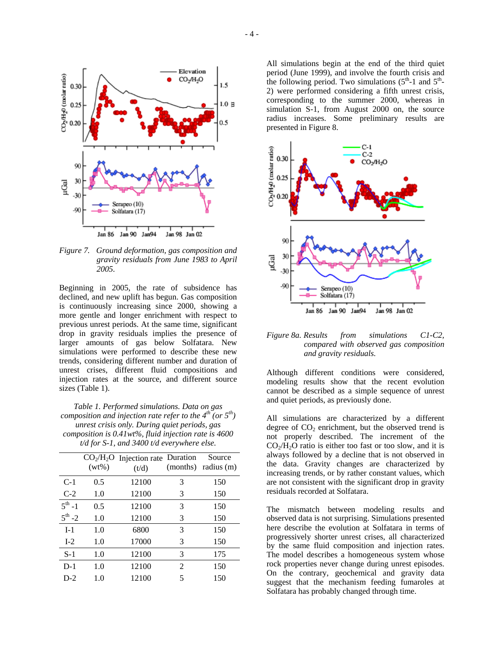

*Figure 7. Ground deformation, gas composition and gravity residuals from June 1983 to April 2005.* 

Beginning in 2005, the rate of subsidence has declined, and new uplift has begun. Gas composition is continuously increasing since 2000, showing a more gentle and longer enrichment with respect to previous unrest periods. At the same time, significant drop in gravity residuals implies the presence of larger amounts of gas below Solfatara. New simulations were performed to describe these new trends, considering different number and duration of unrest crises, different fluid compositions and injection rates at the source, and different source sizes (Table 1).

*Table 1. Performed simulations. Data on gas composition and injection rate refer to the 4<sup>th</sup> (or 5<sup>th</sup>) unrest crisis only. During quiet periods, gas composition is 0.41wt%, fluid injection rate is 4600 t/d for S-1, and 3400 t/d everywhere else.* 

|                    | $(wt\%)$ | $CO2/H2O$ Injection rate Duration | (months)       | Source<br>radius (m) |
|--------------------|----------|-----------------------------------|----------------|----------------------|
|                    |          | (t/d)                             |                |                      |
| $C-1$              | 0.5      | 12100                             | 3              | 150                  |
| $C-2$              | 1.0      | 12100                             | 3              | 150                  |
| $5^{th} - 1$       | 0.5      | 12100                             | 3              | 150                  |
| $5^{\text{th}}$ -2 | 1.0      | 12100                             | 3              | 150                  |
| $I-1$              | 1.0      | 6800                              | 3              | 150                  |
| $I-2$              | 1.0      | 17000                             | 3              | 150                  |
| $S-1$              | 1.0      | 12100                             | 3              | 175                  |
| $D-1$              | 1.0      | 12100                             | $\mathfrak{D}$ | 150                  |
| $D-2$              | 1.0      | 12100                             | 5              | 150                  |
|                    |          |                                   |                |                      |

All simulations begin at the end of the third quiet period (June 1999), and involve the fourth crisis and the following period. Two simulations  $(5<sup>th</sup>-1$  and  $5<sup>th</sup>-1$ 2) were performed considering a fifth unrest crisis, corresponding to the summer 2000, whereas in simulation S-1, from August 2000 on, the source radius increases. Some preliminary results are presented in Figure 8.



*Figure 8a. Results from simulations C1-C2, compared with observed gas composition and gravity residuals.* 

Although different conditions were considered, modeling results show that the recent evolution cannot be described as a simple sequence of unrest and quiet periods, as previously done.

All simulations are characterized by a different degree of  $CO<sub>2</sub>$  enrichment, but the observed trend is not properly described. The increment of the  $CO<sub>2</sub>/H<sub>2</sub>O$  ratio is either too fast or too slow, and it is always followed by a decline that is not observed in the data. Gravity changes are characterized by increasing trends, or by rather constant values, which are not consistent with the significant drop in gravity residuals recorded at Solfatara.

The mismatch between modeling results and observed data is not surprising. Simulations presented here describe the evolution at Solfatara in terms of progressively shorter unrest crises, all characterized by the same fluid composition and injection rates. The model describes a homogeneous system whose rock properties never change during unrest episodes. On the contrary, geochemical and gravity data suggest that the mechanism feeding fumaroles at Solfatara has probably changed through time.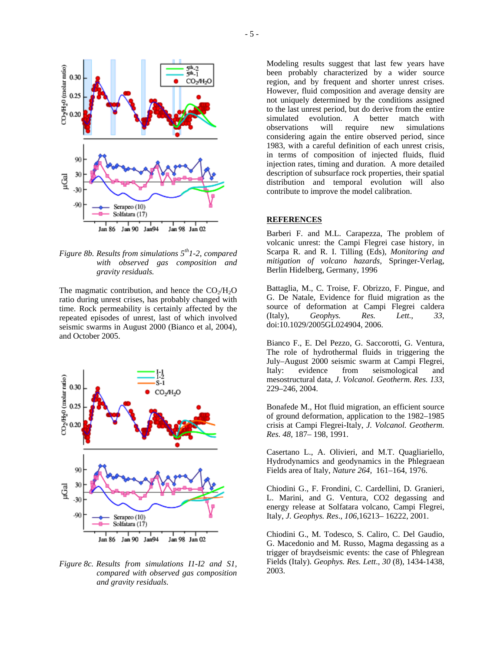

*Figure 8b. Results from simulations 5th1-2, compared with observed gas composition and gravity residuals.* 

The magmatic contribution, and hence the  $CO<sub>2</sub>/H<sub>2</sub>O$ ratio during unrest crises, has probably changed with time. Rock permeability is certainly affected by the repeated episodes of unrest, last of which involved seismic swarms in August 2000 (Bianco et al, 2004), and October 2005.



*Figure 8c. Results from simulations I1-I2 and S1, compared with observed gas composition and gravity residuals.* 

Modeling results suggest that last few years have been probably characterized by a wider source region, and by frequent and shorter unrest crises. However, fluid composition and average density are not uniquely determined by the conditions assigned to the last unrest period, but do derive from the entire<br>simulated evolution. A better match with simulated evolution. A better match with observations will require new simulations considering again the entire observed period, since 1983, with a careful definition of each unrest crisis, in terms of composition of injected fluids, fluid injection rates, timing and duration. A more detailed description of subsurface rock properties, their spatial distribution and temporal evolution will also contribute to improve the model calibration.

#### **REFERENCES**

Barberi F. and M.L. Carapezza, The problem of volcanic unrest: the Campi Flegrei case history, in Scarpa R. and R. I. Tilling (Eds), *Monitoring and mitigation of volcano hazards,* Springer-Verlag, Berlin Hidelberg, Germany, 1996

Battaglia, M., C. Troise, F. Obrizzo, F. Pingue, and G. De Natale, Evidence for fluid migration as the source of deformation at Campi Flegrei caldera (Italy), *Geophys. Res. Lett.*, *33*, doi:10.1029/2005GL024904, 2006.

Bianco F., E. Del Pezzo, G. Saccorotti, G. Ventura, The role of hydrothermal fluids in triggering the July–August 2000 seismic swarm at Campi Flegrei, Italy: evidence from seismological and mesostructural data, *J. Volcanol. Geotherm. Res. 133*, 229–246, 2004.

Bonafede M., Hot fluid migration, an efficient source of ground deformation, application to the 1982–1985 crisis at Campi Flegrei-Italy, *J. Volcanol. Geotherm. Res. 48,* 187– 198, 1991.

Casertano L., A. Olivieri, and M.T. Quagliariello, Hydrodynamics and geodynamics in the Phlegraean Fields area of Italy, *Nature 264,* 161–164, 1976.

Chiodini G., F. Frondini, C. Cardellini, D. Granieri, L. Marini, and G. Ventura, CO2 degassing and energy release at Solfatara volcano, Campi Flegrei, Italy, *J. Geophys. Res*., *106*,16213– 16222, 2001.

Chiodini G., M. Todesco, S. Caliro, C. Del Gaudio, G. Macedonio and M. Russo, Magma degassing as a trigger of braydseismic events: the case of Phlegrean Fields (Italy). *Geophys. Res. Lett*., *30* (8), 1434-1438, 2003.